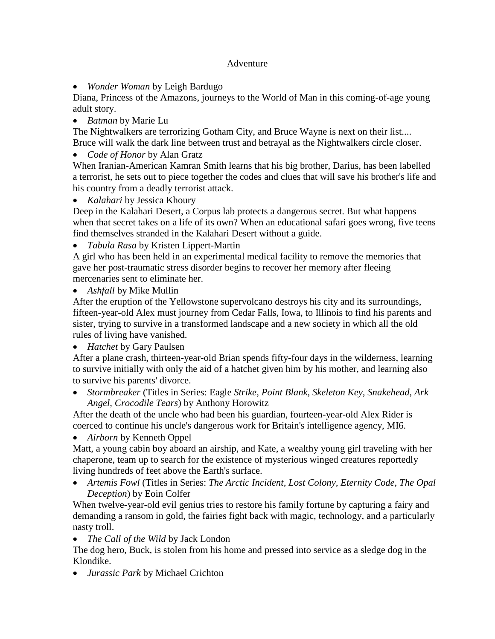## Adventure

*Wonder Woman* by Leigh Bardugo

Diana, Princess of the Amazons, journeys to the World of Man in this coming-of-age young adult story.

*Batman* by Marie Lu

The Nightwalkers are terrorizing Gotham City, and Bruce Wayne is next on their list.... Bruce will walk the dark line between trust and betrayal as the Nightwalkers circle closer.

*Code of Honor* by Alan Gratz

When Iranian-American Kamran Smith learns that his big brother, Darius, has been labelled a terrorist, he sets out to piece together the codes and clues that will save his brother's life and his country from a deadly terrorist attack.

*Kalahari* by Jessica Khoury

Deep in the Kalahari Desert, a Corpus lab protects a dangerous secret. But what happens when that secret takes on a life of its own? When an educational safari goes wrong, five teens find themselves stranded in the Kalahari Desert without a guide.

*Tabula Rasa* by Kristen Lippert-Martin

A girl who has been held in an experimental medical facility to remove the memories that gave her post-traumatic stress disorder begins to recover her memory after fleeing mercenaries sent to eliminate her.

*Ashfall* by Mike Mullin

After the eruption of the Yellowstone supervolcano destroys his city and its surroundings, fifteen-year-old Alex must journey from Cedar Falls, Iowa, to Illinois to find his parents and sister, trying to survive in a transformed landscape and a new society in which all the old rules of living have vanished.

*Hatchet* by Gary Paulsen

After a plane crash, thirteen-year-old Brian spends fifty-four days in the wilderness, learning to survive initially with only the aid of a hatchet given him by his mother, and learning also to survive his parents' divorce.

 *Stormbreaker* (Titles in Series: Eagle *Strike, Point Blank, Skeleton Key, Snakehead, Ark Angel, Crocodile Tears*) by Anthony Horowitz

After the death of the uncle who had been his guardian, fourteen-year-old Alex Rider is coerced to continue his uncle's dangerous work for Britain's intelligence agency, MI6.

*Airborn* by Kenneth Oppel

Matt, a young cabin boy aboard an airship, and Kate, a wealthy young girl traveling with her chaperone, team up to search for the existence of mysterious winged creatures reportedly living hundreds of feet above the Earth's surface.

 *Artemis Fowl* (Titles in Series: *The Arctic Incident, Lost Colony, Eternity Code, The Opal Deception*) by Eoin Colfer

When twelve-year-old evil genius tries to restore his family fortune by capturing a fairy and demanding a ransom in gold, the fairies fight back with magic, technology, and a particularly nasty troll.

*The Call of the Wild* by Jack London

The dog hero, Buck, is stolen from his home and pressed into service as a sledge dog in the Klondike.

*Jurassic Park* by Michael Crichton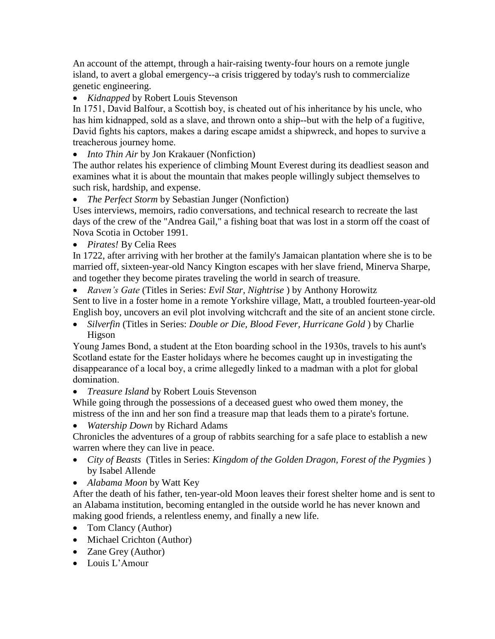An account of the attempt, through a hair-raising twenty-four hours on a remote jungle island, to avert a global emergency--a crisis triggered by today's rush to commercialize genetic engineering.

*Kidnapped* by Robert Louis Stevenson

In 1751, David Balfour, a Scottish boy, is cheated out of his inheritance by his uncle, who has him kidnapped, sold as a slave, and thrown onto a ship--but with the help of a fugitive, David fights his captors, makes a daring escape amidst a shipwreck, and hopes to survive a treacherous journey home.

• *Into Thin Air* by Jon Krakauer (Nonfiction)

The author relates his experience of climbing Mount Everest during its deadliest season and examines what it is about the mountain that makes people willingly subject themselves to such risk, hardship, and expense.

*The Perfect Storm* by Sebastian Junger (Nonfiction)

Uses interviews, memoirs, radio conversations, and technical research to recreate the last days of the crew of the "Andrea Gail," a fishing boat that was lost in a storm off the coast of Nova Scotia in October 1991.

*Pirates!* By Celia Rees

In 1722, after arriving with her brother at the family's Jamaican plantation where she is to be married off, sixteen-year-old Nancy Kington escapes with her slave friend, Minerva Sharpe, and together they become pirates traveling the world in search of treasure.

*Raven's Gate* (Titles in Series: *Evil Star, Nightrise* ) by Anthony Horowitz

Sent to live in a foster home in a remote Yorkshire village, Matt, a troubled fourteen-year-old English boy, uncovers an evil plot involving witchcraft and the site of an ancient stone circle.

 *Silverfin* (Titles in Series: *Double or Die, Blood Fever, Hurricane Gold* ) by Charlie Higson

Young James Bond, a student at the Eton boarding school in the 1930s, travels to his aunt's Scotland estate for the Easter holidays where he becomes caught up in investigating the disappearance of a local boy, a crime allegedly linked to a madman with a plot for global domination.

*Treasure Island* by Robert Louis Stevenson

While going through the possessions of a deceased guest who owed them money, the mistress of the inn and her son find a treasure map that leads them to a pirate's fortune.

*Watership Down* by Richard Adams

Chronicles the adventures of a group of rabbits searching for a safe place to establish a new warren where they can live in peace.

- *City of Beasts* (Titles in Series: *Kingdom of the Golden Dragon, Forest of the Pygmies* ) by Isabel Allende
- *Alabama Moon* by Watt Key

After the death of his father, ten-year-old Moon leaves their forest shelter home and is sent to an Alabama institution, becoming entangled in the outside world he has never known and making good friends, a relentless enemy, and finally a new life.

- Tom Clancy (Author)
- Michael Crichton (Author)
- Zane Grey (Author)
- Louis L'Amour